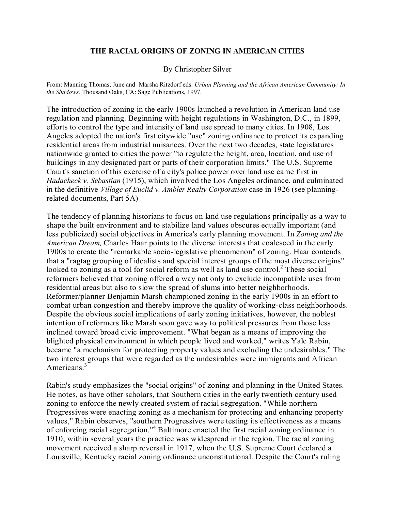### **THE RACIAL ORIGINS OF ZONING IN AMERICAN CITIES**

#### By Christopher Silver

From: Manning Thomas, June and Marsha Ritzdorf eds. *Urban Planning and the African American Community: In the Shadows.* Thousand Oaks, CA: Sage Publications, 1997.

The introduction of zoning in the early 1900s launched a revolution in American land use regulation and planning. Beginning with height regulations in Washington, D.C., in 1899, efforts to control the type and intensity of land use spread to many cities. In 1908, Los Angeles adopted the nation's first citywide "use" zoning ordinance to protect its expanding residential areas from industrial nuisances. Over the next two decades, state legislatures nationwide granted to cities the power "to regulate the height, area, location, and use of buildings in any designated part or parts of their corporation limits." The U.S. Supreme Court's sanction of this exercise of a city's police power over land use came first in *Hadacheck v. Sebastian* (1915), which involved the Los Angeles ordinance, and culminated in the definitive *Village of Euclid v. Ambler Realty Corporation* case in 1926 (see planningrelated documents, Part 5A)

The tendency of planning historians to focus on land use regulations principally as a way to shape the built environment and to stabilize land values obscures equally important (and less publicized) social objectives in America's early planning movement. In *Zoning and the American Dream,* Charles Haar points to the diverse interests that coalesced in the early 1900s to create the "remarkable socio-legislative phenomenon" of zoning. Haar contends that a "ragtag grouping of idealists and special interest groups of the most diverse origins" looked to zoning as a tool for social reform as well as land use control.<sup>2</sup> These social reformers believed that zoning offered a way not only to exclude incompatible uses from residential areas but also to slow the spread of slums into better neighborhoods. Reformer/planner Benjamin Marsh championed zoning in the early 1900s in an effort to combat urban congestion and thereby improve the quality of working-class neighborhoods. Despite the obvious social implications of early zoning initiatives, however, the noblest intention of reformers like Marsh soon gave way to political pressures from those less inclined toward broad civic improvement. "What began as a means of improving the blighted physical environment in which people lived and worked," writes Yale Rabin, became "a mechanism for protecting property values and excluding the undesirables." The two interest groups that were regarded as the undesirables were immigrants and African Americans.<sup>3</sup>

Rabin's study emphasizes the "social origins" of zoning and planning in the United States. He notes, as have other scholars, that Southern cities in the early twentieth century used zoning to enforce the newly created system of racial segregation. "While northern Progressives were enacting zoning as a mechanism for protecting and enhancing property values," Rabin observes, "southern Progressives were testing its effectiveness as a means of enforcing racial segregation." <sup>4</sup> Baltimore enacted the first racial zoning ordinance in 1910; within several years the practice was widespread in the region. The racial zoning movement received a sharp reversal in 1917, when the U.S. Supreme Court declared a Louisville, Kentucky racial zoning ordinance unconstitutional. Despite the Court's ruling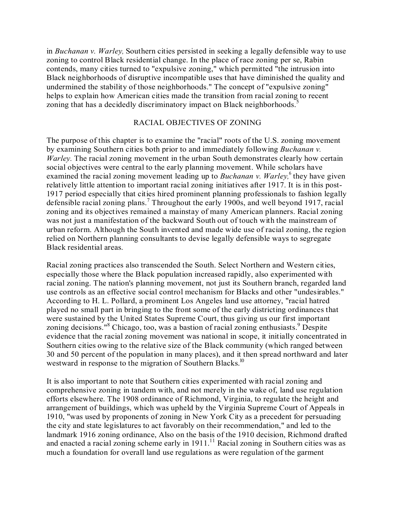in *Buchanan v. Warley,* Southern cities persisted in seeking a legally defensible way to use zoning to control Black residential change. In the place of race zoning per se, Rabin contends, many cities turned to "expulsive zoning," which permitted "the intrusion into Black neighborhoods of disruptive incompatible uses that have diminished the quality and undermined the stability of those neighborhoods." The concept of "expulsive zoning" helps to explain how American cities made the transition from racial zoning to recent zoning that has a decidedly discriminatory impact on Black neighborhoods.<sup>5</sup>

### RACIAL OBJECTIVES OF ZONING

The purpose of this chapter is to examine the "racial" roots of the U.S. zoning movement by examining Southern cities both prior to and immediately following *Buchanan v. Warley*. The racial zoning movement in the urban South demonstrates clearly how certain social objectives were central to the early planning movement. While scholars have examined the racial zoning movement leading up to *Buchanan v. Warley,* <sup>6</sup> they have given relatively little attention to important racial zoning initiatives after 1917. It is in this post-1917 period especially that cities hired prominent planning professionals to fashion legally defensible racial zoning plans. <sup>7</sup> Throughout the early 1900s, and well beyond 1917, racial zoning and its objectives remained a mainstay of many American planners. Racial zoning was not just a manifestation of the backward South out of touch with the mainstream of urban reform. Although the South invented and made wide use of racial zoning, the region relied on Northern planning consultants to devise legally defensible ways to segregate Black residential areas.

Racial zoning practices also transcended the South. Select Northern and Western cities, especially those where the Black population increased rapidly, also experimented with racial zoning. The nation's planning movement, not just its Southern branch, regarded land use controls as an effective social control mechanism for Blacks and other "undesirables." According to H. L. Pollard, a prominent Los Angeles land use attorney, "racial hatred played no small part in bringing to the front some of the early districting ordinances that were sustained by the United States Supreme Court, thus giving us our first important zoning decisions."<sup>8</sup> Chicago, too, was a bastion of racial zoning enthusiasts.<sup>9</sup> Despite evidence that the racial zoning movement was national in scope, it initially concentrated in Southern cities owing to the relative size of the Black community (which ranged between 30 and 50 percent of the population in many places), and it then spread northward and later westward in response to the migration of Southern Blacks.<sup>10</sup>

It is also important to note that Southern cities experimented with racial zoning and comprehensive zoning in tandem with, and not merely in the wake of, land use regulation efforts elsewhere. The 1908 ordinance of Richmond, Virginia, to regulate the height and arrangement of buildings, which was upheld by the Virginia Supreme Court of Appeals in 1910, "was used by proponents of zoning in New York City as a precedent for persuading the city and state legislatures to act favorably on their recommendation," and led to the landmark 1916 zoning ordinance, Also on the basis of the 1910 decision, Richmond drafted and enacted a racial zoning scheme early in  $1911$ .<sup>11</sup> Racial zoning in Southern cities was as much a foundation for overall land use regulations as were regulation of the garment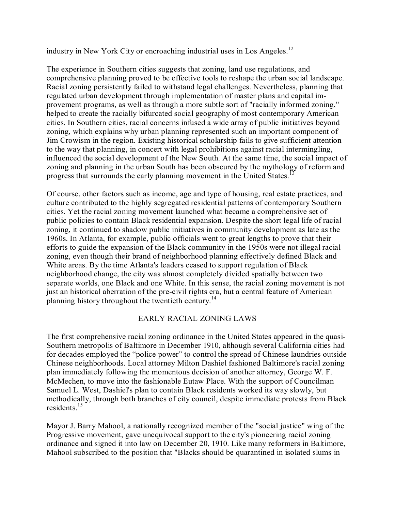industry in New York City or encroaching industrial uses in Los Angeles.<sup>12</sup>

The experience in Southern cities suggests that zoning, land use regulations, and comprehensive planning proved to be effective tools to reshape the urban social landscape. Racial zoning persistently failed to withstand legal challenges. Nevertheless, planning that regulated urban development through implementation of master plans and capital improvement programs, as well as through a more subtle sort of "racially informed zoning," helped to create the racially bifurcated social geography of most contemporary American cities. In Southern cities, racial concerns infused a wide array of public initiatives beyond zoning, which explains why urban planning represented such an important component of Jim Crowism in the region. Existing historical scholarship fails to give sufficient attention to the way that planning, in concert with legal prohibitions against racial intermingling, influenced the social development of the New South. At the same time, the social impact of zoning and planning in the urban South has been obscured by the mythology of reform and progress that surrounds the early planning movement in the United States.<sup>13</sup>

Of course, other factors such as income, age and type of housing, real estate practices, and culture contributed to the highly segregated residential patterns of contemporary Southern cities. Yet the racial zoning movement launched what became a comprehensive set of public policies to contain Black residential expansion. Despite the short legal life of racial zoning, it continued to shadow public initiatives in community development as late as the 1960s. In Atlanta, for example, public officials went to great lengths to prove that their efforts to guide the expansion of the Black community in the 1950s were not illegal racial zoning, even though their brand of neighborhood planning effectively defined Black and White areas. By the time Atlanta's leaders ceased to support regulation of Black neighborhood change, the city was almost completely divided spatially between two separate worlds, one Black and one White. In this sense, the racial zoning movement is not just an historical aberration of the pre-civil rights era, but a central feature of American planning history throughout the twentieth century.<sup>14</sup>

## EARLY RACIAL ZONING LAWS

The first comprehensive racial zoning ordinance in the United States appeared in the quasi-Southern metropolis of Baltimore in December 1910, although several California cities had for decades employed the "police power" to control the spread of Chinese laundries outside Chinese neighborhoods. Local attorney Milton Dashiel fashioned Baltimore's racial zoning plan immediately following the momentous decision of another attorney, George W. F. McMechen, to move into the fashionable Eutaw Place. With the support of Councilman Samuel L. West, Dashiel's plan to contain Black residents worked its way slowly, but methodically, through both branches of city council, despite immediate protests from Black residents. 15

Mayor J. Barry Mahool, a nationally recognized member of the "social justice" wing of the Progressive movement, gave unequivocal support to the city's pioneering racial zoning ordinance and signed it into law on December 20, 1910. Like many reformers in Baltimore, Mahool subscribed to the position that "Blacks should be quarantined in isolated slums in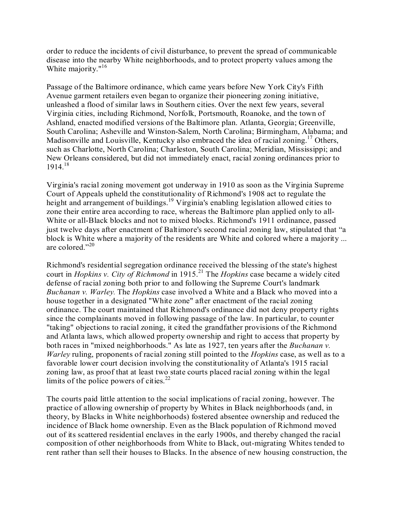order to reduce the incidents of civil disturbance, to prevent the spread of communicable disease into the nearby White neighborhoods, and to protect property values among the White majority."<sup>16</sup>

Passage of the Baltimore ordinance, which came years before New York City's Fifth Avenue garment retailers even began to organize their pioneering zoning initiative, unleashed a flood of similar laws in Southern cities. Over the next few years, several Virginia cities, including Richmond, Norfolk, Portsmouth, Roanoke, and the town of Ashland, enacted modified versions of the Baltimore plan. Atlanta, Georgia; Greenville, South Carolina; Asheville and Winston-Salem, North Carolina; Birmingham, Alabama; and Madisonville and Louisville, Kentucky also embraced the idea of racial zoning.<sup>17</sup> Others, such as Charlotte, North Carolina; Charleston, South Carolina; Meridian, Mississippi; and New Orleans considered, but did not immediately enact, racial zoning ordinances prior to 1914.<sup>18</sup>

Virginia's racial zoning movement got underway in 1910 as soon as the Virginia Supreme Court of Appeals upheld the constitutionality of Richmond's 1908 act to regulate the height and arrangement of buildings.<sup>19</sup> Virginia's enabling legislation allowed cities to zone their entire area according to race, whereas the Baltimore plan applied only to all-White or all-Black blocks and not to mixed blocks. Richmond's 1911 ordinance, passed just twelve days after enactment of Baltimore's second racial zoning law, stipulated that "a block is White where a majority of the residents are White and colored where a majority ... are colored." 20

Richmond's residential segregation ordinance received the blessing of the state's highest court in *Hopkins v. City of Richmond* in 1915. <sup>21</sup> The *Hopkins* case became a widely cited defense of racial zoning both prior to and following the Supreme Court's landmark *Buchanan v. Warley.* The *Hopkins* case involved a White and a Black who moved into a house together in a designated "White zone" after enactment of the racial zoning ordinance. The court maintained that Richmond's ordinance did not deny property rights since the complainants moved in following passage of the law. In particular, to counter "taking" objections to racial zoning, it cited the grandfather provisions of the Richmond and Atlanta laws, which allowed property ownership and right to access that property by both races in "mixed neighborhoods." As late as 1927, ten years after the *Buchanan v. Warley* ruling, proponents of racial zoning still pointed to the *Hopkins* case, as well as to a favorable lower court decision involving the constitutionality of Atlanta's 1915 racial zoning law, as proof that at least two state courts placed racial zoning within the legal limits of the police powers of cities.<sup>22</sup>

The courts paid little attention to the social implications of racial zoning, however. The practice of allowing ownership of property by Whites in Black neighborhoods (and, in theory, by Blacks in White neighborhoods) fostered absentee ownership and reduced the incidence of Black home ownership. Even as the Black population of Richmond moved out of its scattered residential enclaves in the early 1900s, and thereby changed the racial composition of other neighborhoods from White to Black, out-migrating Whites tended to rent rather than sell their houses to Blacks. In the absence of new housing construction, the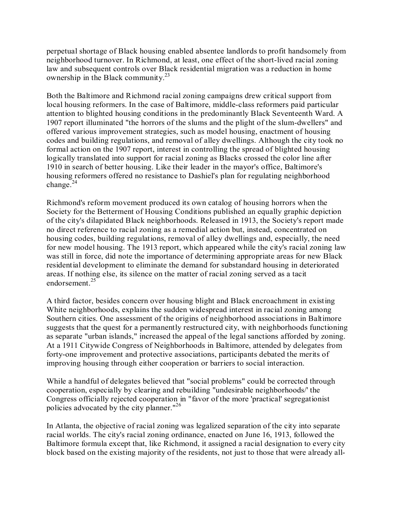perpetual shortage of Black housing enabled absentee landlords to profit handsomely from neighborhood turnover. In Richmond, at least, one effect of the short-lived racial zoning law and subsequent controls over Black residential migration was a reduction in home ownership in the Black community.<sup>23</sup>

Both the Baltimore and Richmond racial zoning campaigns drew critical support from local housing reformers. In the case of Baltimore, middle-class reformers paid particular attention to blighted housing conditions in the predominantly Black Seventeenth Ward. A 1907 report illuminated "the horrors of the slums and the plight of the slum-dwellers" and offered various improvement strategies, such as model housing, enactment of housing codes and building regulations, and removal of alley dwellings. Although the city took no formal action on the 1907 report, interest in controlling the spread of blighted housing logically translated into support for racial zoning as Blacks crossed the color line after 1910 in search of better housing. Like their leader in the mayor's office, Baltimore's housing reformers offered no resistance to Dashiel's plan for regulating neighborhood change.<sup>24</sup>

Richmond's reform movement produced its own catalog of housing horrors when the Society for the Betterment of Housing Conditions published an equally graphic depiction of the city's dilapidated Black neighborhoods. Released in 1913, the Society's report made no direct reference to racial zoning as a remedial action but, instead, concentrated on housing codes, building regulations, removal of alley dwellings and, especially, the need for new model housing. The 1913 report, which appeared while the city's racial zoning law was still in force, did note the importance of determining appropriate areas for new Black residential development to eliminate the demand for substandard housing in deteriorated areas. If nothing else, its silence on the matter of racial zoning served as a tacit endorsement. 25

A third factor, besides concern over housing blight and Black encroachment in existing White neighborhoods, explains the sudden widespread interest in racial zoning among Southern cities. One assessment of the origins of neighborhood associations in Baltimore suggests that the quest for a permanently restructured city, with neighborhoods functioning as separate "urban islands," increased the appeal of the legal sanctions afforded by zoning. At a 1911 Citywide Congress of Neighborhoods in Baltimore, attended by delegates from forty-one improvement and protective associations, participants debated the merits of improving housing through either cooperation or barriers to social interaction.

While a handful of delegates believed that "social problems" could be corrected through cooperation, especially by clearing and rebuilding "undesirable neighborhoods/' the Congress officially rejected cooperation in "favor of the more 'practical' segregationist policies advocated by the city planner."<sup>26</sup>

In Atlanta, the objective of racial zoning was legalized separation of the city into separate racial worlds. The city's racial zoning ordinance, enacted on June 16, 1913, followed the Baltimore formula except that, like Richmond, it assigned a racial designation to every city block based on the existing majority of the residents, not just to those that were already all-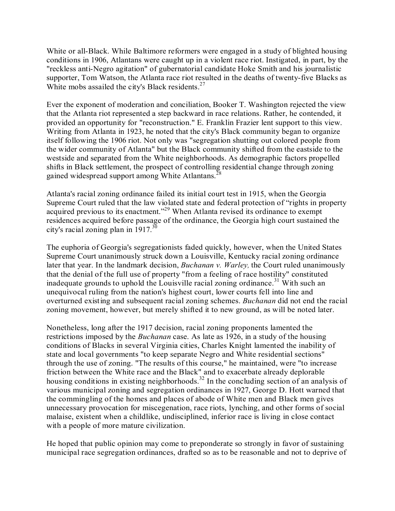White or all-Black. While Baltimore reformers were engaged in a study of blighted housing conditions in 1906, Atlantans were caught up in a violent race riot. Instigated, in part, by the "reckless anti-Negro agitation" of gubernatorial candidate Hoke Smith and his journalistic supporter, Tom Watson, the Atlanta race riot resulted in the deaths of twenty-five Blacks as White mobs assailed the city's Black residents.<sup>27</sup>

Ever the exponent of moderation and conciliation, Booker T. Washington rejected the view that the Atlanta riot represented a step backward in race relations. Rather, he contended, it provided an opportunity for "reconstruction." E. Franklin Frazier lent support to this view. Writing from Atlanta in 1923, he noted that the city's Black community began to organize itself following the 1906 riot. Not only was "segregation shutting out colored people from the wider community of Atlanta" but the Black community shifted from the eastside to the westside and separated from the White neighborhoods. As demographic factors propelled shifts in Black settlement, the prospect of controlling residential change through zoning gained widespread support among White Atlantans.<sup>28</sup>

Atlanta's racial zoning ordinance failed its initial court test in 1915, when the Georgia Supreme Court ruled that the law violated state and federal protection of "rights in property acquired previous to its enactment."<sup>29</sup> When Atlanta revised its ordinance to exempt residences acquired before passage of the ordinance, the Georgia high court sustained the city's racial zoning plan in  $1917^{30}$ 

The euphoria of Georgia's segregationists faded quickly, however, when the United States Supreme Court unanimously struck down a Louisville, Kentucky racial zoning ordinance later that year. In the landmark decision, *Buchanan v. Warley,* the Court ruled unanimously that the denial of the full use of property "from a feeling of race hostility" constituted inadequate grounds to uphold the Louisville racial zoning ordinance.<sup>31</sup> With such an unequivocal ruling from the nation's highest court, lower courts fell into line and overturned existing and subsequent racial zoning schemes. *Buchanan* did not end the racial zoning movement, however, but merely shifted it to new ground, as will be noted later.

Nonetheless, long after the 1917 decision, racial zoning proponents lamented the restrictions imposed by the *Buchanan* case. As late as 1926, in a study of the housing conditions of Blacks in several Virginia cities, Charles Knight lamented the inability of state and local governments "to keep separate Negro and White residential sections" through the use of zoning. "The results of this course," he maintained, were "to increase friction between the White race and the Black" and to exacerbate already deplorable housing conditions in existing neighborhoods.<sup>32</sup> In the concluding section of an analysis of various municipal zoning and segregation ordinances in 1927, George D. Hott warned that the commingling of the homes and places of abode of White men and Black men gives unnecessary provocation for miscegenation, race riots, lynching, and other forms of social malaise, existent when a childlike, undisciplined, inferior race is living in close contact with a people of more mature civilization.

He hoped that public opinion may come to preponderate so strongly in favor of sustaining municipal race segregation ordinances, drafted so as to be reasonable and not to deprive of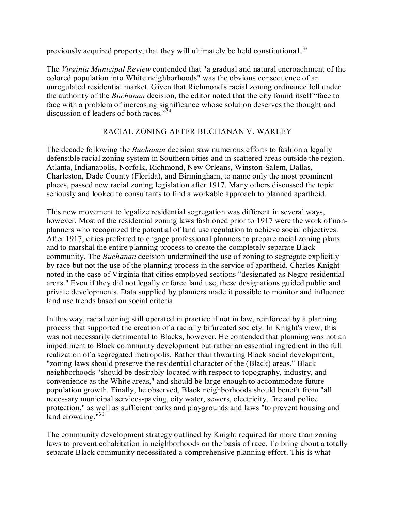previously acquired property, that they will ultimately be held constitutional.<sup>33</sup>

The *Virginia Municipal Review* contended that "a gradual and natural encroachment of the colored population into White neighborhoods" was the obvious consequence of an unregulated residential market. Given that Richmond's racial zoning ordinance fell under the authority of the *Buchanan* decision, the editor noted that the city found itself "face to face with a problem of increasing significance whose solution deserves the thought and discussion of leaders of both races."<sup>34</sup>

# RACIAL ZONING AFTER BUCHANAN V. WARLEY

The decade following the *Buchanan* decision saw numerous efforts to fashion a legally defensible racial zoning system in Southern cities and in scattered areas outside the region. Atlanta, Indianapolis, Norfolk, Richmond, New Orleans, Winston-Salem, Dallas, Charleston, Dade County (Florida), and Birmingham, to name only the most prominent places, passed new racial zoning legislation after 1917. Many others discussed the topic seriously and looked to consultants to find a workable approach to planned apartheid.

This new movement to legalize residential segregation was different in several ways, however. Most of the residential zoning laws fashioned prior to 1917 were the work of nonplanners who recognized the potential of land use regulation to achieve social objectives. After 1917, cities preferred to engage professional planners to prepare racial zoning plans and to marshal the entire planning process to create the completely separate Black community. The *Buchanan* decision undermined the use of zoning to segregate explicitly by race but not the use of the planning process in the service of apartheid. Charles Knight noted in the case of Virginia that cities employed sections "designated as Negro residential areas." Even if they did not legally enforce land use, these designations guided public and private developments. Data supplied by planners made it possible to monitor and influence land use trends based on social criteria.

In this way, racial zoning still operated in practice if not in law, reinforced by a planning process that supported the creation of a racially bifurcated society. In Knight's view, this was not necessarily detrimental to Blacks, however. He contended that planning was not an impediment to Black community development but rather an essential ingredient in the full realization of a segregated metropolis. Rather than thwarting Black social development, "zoning laws should preserve the residential character of the (Black) areas." Black neighborhoods "should be desirably located with respect to topography, industry, and convenience as the White areas," and should be large enough to accommodate future population growth. Finally, he observed, Black neighborhoods should benefit from "all necessary municipal services-paving, city water, sewers, electricity, fire and police protection," as well as sufficient parks and playgrounds and laws "to prevent housing and land crowding."<sup>36</sup>

The community development strategy outlined by Knight required far more than zoning laws to prevent cohabitation in neighborhoods on the basis of race. To bring about a totally separate Black community necessitated a comprehensive planning effort. This is what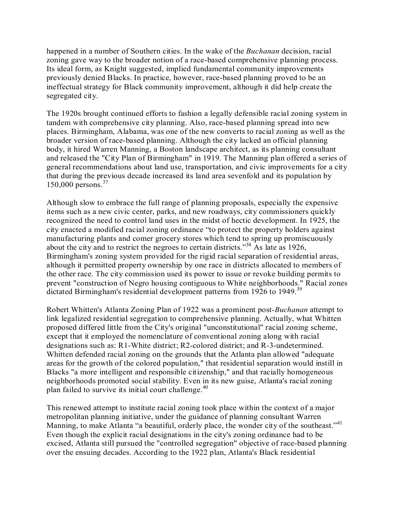happened in a number of Southern cities. In the wake of the *Buchanan* decision, racial zoning gave way to the broader notion of a race-based comprehensive planning process. Its ideal form, as Knight suggested, implied fundamental community improvements previously denied Blacks. In practice, however, race-based planning proved to be an ineffectual strategy for Black community improvement, although it did help create the segregated city.

The 1920s brought continued efforts to fashion a legally defensible racial zoning system in tandem with comprehensive city planning. Also, race-based planning spread into new places. Birmingham, Alabama, was one of the new converts to racial zoning as well as the broader version of race-based planning. Although the city lacked an official planning body, it hired Warren Manning, a Boston landscape architect, as its planning consultant and released the "City Plan of Birmingham" in 1919. The Manning plan offered a series of general recommendations about land use, transportation, and civic improvements for a city that during the previous decade increased its land area sevenfold and its population by 150,000 persons. 37

Although slow to embrace the full range of planning proposals, especially the expensive items such as a new civic center, parks, and new roadways, city commissioners quickly recognized the need to control land uses in the midst of hectic development. In 1925, the city enacted a modified racial zoning ordinance "to protect the property holders against manufacturing plants and comer grocery stores which tend to spring up promiscuously about the city and to restrict the negroes to certain districts."<sup>38</sup> As late as 1926, Birmingham's zoning system provided for the rigid racial separation of residential areas, although it permitted property ownership by one race in districts allocated to members of the other race. The city commission used its power to issue or revoke building permits to prevent "construction of Negro housing contiguous to White neighborhoods." Racial zones dictated Birmingham's residential development patterns from 1926 to 1949.<sup>39</sup>

Robert Whitten's Atlanta Zoning Plan of 1922 was a prominent post-*Buchanan* attempt to link legalized residential segregation to comprehensive planning. Actually, what Whitten proposed differed little from the City's original "unconstitutional" racial zoning scheme, except that it employed the nomenclature of conventional zoning along with racial designations such as: R1-White district; R2-colored district; and R-3-undetermined. Whitten defended racial zoning on the grounds that the Atlanta plan allowed "adequate areas for the growth of the colored population," that residential separation would instill in Blacks "a more intelligent and responsible citizenship," and that racially homogeneous neighborhoods promoted social stability. Even in its new guise, Atlanta's racial zoning plan failed to survive its initial court challenge.<sup>40</sup>

This renewed attempt to institute racial zoning took place within the context of a major metropolitan planning initiative, under the guidance of planning consultant Warren Manning, to make Atlanta "a beautiful, orderly place, the wonder city of the southeast."<sup>41</sup> Even though the explicit racial designations in the city's zoning ordinance had to be excised, Atlanta still pursued the "controlled segregation" objective of race-based planning over the ensuing decades. According to the 1922 plan, Atlanta's Black residential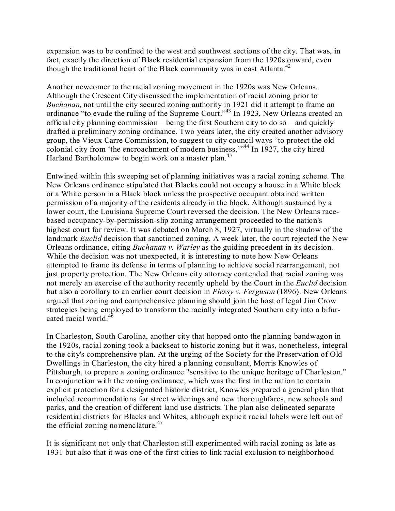expansion was to be confined to the west and southwest sections of the city. That was, in fact, exactly the direction of Black residential expansion from the 1920s onward, even though the traditional heart of the Black community was in east Atlanta.<sup>42</sup>

Another newcomer to the racial zoning movement in the 1920s was New Orleans. Although the Crescent City discussed the implementation of racial zoning prior to *Buchanan,* not until the city secured zoning authority in 1921 did it attempt to frame an ordinance "to evade the ruling of the Supreme Court."<sup>43</sup> In 1923, New Orleans created an official city planning commission—being the first Southern city to do so—and quickly drafted a preliminary zoning ordinance. Two years later, the city created another advisory group, the Vieux Carre Commission, to suggest to city council ways "to protect the old colonial city from 'the encroachment of modern business.'"<sup>44</sup> In 1927, the city hired Harland Bartholomew to begin work on a master plan.<sup>45</sup>

Entwined within this sweeping set of planning initiatives was a racial zoning scheme. The New Orleans ordinance stipulated that Blacks could not occupy a house in a White block or a White person in a Black block unless the prospective occupant obtained written permission of a majority of the residents already in the block. Although sustained by a lower court, the Louisiana Supreme Court reversed the decision. The New Orleans racebased occupancy-by-permission-slip zoning arrangement proceeded to the nation's highest court for review. It was debated on March 8, 1927, virtually in the shadow of the landmark *Euclid* decision that sanctioned zoning. A week later, the court rejected the New Orleans ordinance, citing *Buchanan v. Warley* as the guiding precedent in its decision. While the decision was not unexpected, it is interesting to note how New Orleans attempted to frame its defense in terms of planning to achieve social rearrangement, not just property protection. The New Orleans city attorney contended that racial zoning was not merely an exercise of the authority recently upheld by the Court in the *Euclid* decision but also a corollary to an earlier court decision in *Plessy v. Ferguson* (1896). New Orleans argued that zoning and comprehensive planning should join the host of legal Jim Crow strategies being employed to transform the racially integrated Southern city into a bifurcated racial world.<sup>46</sup>

In Charleston, South Carolina, another city that hopped onto the planning bandwagon in the 1920s, racial zoning took a backseat to historic zoning but it was, nonetheless, integral to the city's comprehensive plan. At the urging of the Society for the Preservation of Old Dwellings in Charleston, the city hired a planning consultant, Morris Knowles of Pittsburgh, to prepare a zoning ordinance "sensitive to the unique heritage of Charleston." In conjunction with the zoning ordinance, which was the first in the nation to contain explicit protection for a designated historic district, Knowles prepared a general plan that included recommendations for street widenings and new thoroughfares, new schools and parks, and the creation of different land use districts. The plan also delineated separate residential districts for Blacks and Whites, although explicit racial labels were left out of the official zoning nomenclature.<sup>47</sup>

It is significant not only that Charleston still experimented with racial zoning as late as 1931 but also that it was one of the first cities to link racial exclusion to neighborhood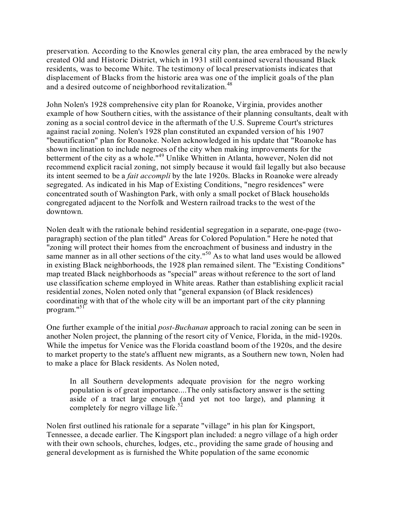preservation. According to the Knowles general city plan, the area embraced by the newly created Old and Historic District, which in 1931 still contained several thousand Black residents, was to become White. The testimony of local preservationists indicates that displacement of Blacks from the historic area was one of the implicit goals of the plan and a desired outcome of neighborhood revitalization.<sup>48</sup>

John Nolen's 1928 comprehensive city plan for Roanoke, Virginia, provides another example of how Southern cities, with the assistance of their planning consultants, dealt with zoning as a social control device in the aftermath of the U.S. Supreme Court's strictures against racial zoning. Nolen's 1928 plan constituted an expanded version of his 1907 "beautification" plan for Roanoke. Nolen acknowledged in his update that "Roanoke has shown inclination to include negroes of the city when making improvements for the betterment of the city as a whole."<sup>49</sup> Unlike Whitten in Atlanta, however, Nolen did not recommend explicit racial zoning, not simply because it would fail legally but also because its intent seemed to be a *fait accompli* by the late 1920s. Blacks in Roanoke were already segregated. As indicated in his Map of Existing Conditions, "negro residences" were concentrated south of Washington Park, with only a small pocket of Black households congregated adjacent to the Norfolk and Western railroad tracks to the west of the downtown.

Nolen dealt with the rationale behind residential segregation in a separate, one-page (twoparagraph) section of the plan titled" Areas for Colored Population." Here he noted that "zoning will protect their homes from the encroachment of business and industry in the same manner as in all other sections of the city."<sup>50</sup> As to what land uses would be allowed in existing Black neighborhoods, the 1928 plan remained silent. The "Existing Conditions" map treated Black neighborhoods as "special" areas without reference to the sort of land use classification scheme employed in White areas. Rather than establishing explicit racial residential zones, Nolen noted only that "general expansion (of Black residences) coordinating with that of the whole city will be an important part of the city planning program."<sup>51</sup>

One further example of the initial *post-Buchanan* approach to racial zoning can be seen in another Nolen project, the planning of the resort city of Venice, Florida, in the mid-1920s. While the impetus for Venice was the Florida coastland boom of the 1920s, and the desire to market property to the state's affluent new migrants, as a Southern new town, Nolen had to make a place for Black residents. As Nolen noted,

In all Southern developments adequate provision for the negro working population is of great importance....The only satisfactory answer is the setting aside of a tract large enough (and yet not too large), and planning it completely for negro village life. $52$ 

Nolen first outlined his rationale for a separate "village" in his plan for Kingsport, Tennessee, a decade earlier. The Kingsport plan included: a negro village of a high order with their own schools, churches, lodges, etc., providing the same grade of housing and general development as is furnished the White population of the same economic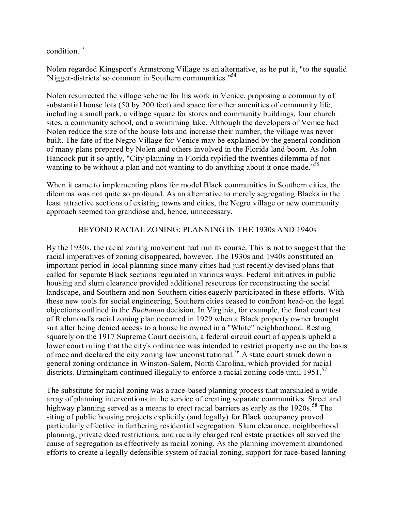condition. 53

Nolen regarded Kingsport's Armstrong Village as an alternative, as he put it, "to the squalid 'Nigger-districts' so common in Southern communities."<sup>54</sup>

Nolen resurrected the village scheme for his work in Venice, proposing a community of substantial house lots (50 by 200 feet) and space for other amenities of community life, including a small park, a village square for stores and community buildings, four church sites, a community school, and a swimming lake. Although the developers of Venice had Nolen reduce the size of the house lots and increase their number, the village was never built. The fate of the Negro Village for Venice may be explained by the general condition of many plans prepared by Nolen and others involved in the Florida land boom. As John Hancock put it so aptly, "City planning in Florida typified the twenties dilemma of not wanting to be without a plan and not wanting to do anything about it once made."<sup>55</sup>

When it came to implementing plans for model Black communities in Southern cities, the dilemma was not quite so profound. As an alternative to merely segregating Blacks in the least attractive sections of existing towns and cities, the Negro village or new community approach seemed too grandiose and, hence, unnecessary.

### BEYOND RACIAL ZONING: PLANNING IN THE 1930s AND 1940s

By the 1930s, the racial zoning movement had run its course. This is not to suggest that the racial imperatives of zoning disappeared, however. The 1930s and 1940s constituted an important period in local planning since many cities had just recently devised plans that called for separate Black sections regulated in various ways. Federal initiatives in public housing and slum clearance provided additional resources for reconstructing the social landscape, and Southern and non-Southern cities eagerly participated in these efforts. With these new tools for social engineering, Southern cities ceased to confront head-on the legal objections outlined in the *Buchanan* decision. In Virginia, for example, the final court test of Richmond's racial zoning plan occurred in 1929 when a Black property owner brought suit after being denied access to a house he owned in a "White" neighborhood. Resting squarely on the 1917 Supreme Court decision, a federal circuit court of appeals upheld a lower court ruling that the city's ordinance was intended to restrict property use on the basis of race and declared the city zoning law unconstitutional.<sup>56</sup> A state court struck down a general zoning ordinance in Winston-Salem, North Carolina, which provided for racial districts. Birmingham continued illegally to enforce a racial zoning code until  $1951$ .<sup>57</sup>

The substitute for racial zoning was a race-based planning process that marshaled a wide array of planning interventions in the service of creating separate communities. Street and highway planning served as a means to erect racial barriers as early as the 1920s.<sup>58</sup> The siting of public housing projects explicitly (and legally) for Black occupancy proved particularly effective in furthering residential segregation. Slum clearance, neighborhood planning, private deed restrictions, and racially charged real estate practices all served the cause of segregation as effectively as racial zoning. As the planning movement abandoned efforts to create a legally defensible system of racial zoning, support for race-based lanning